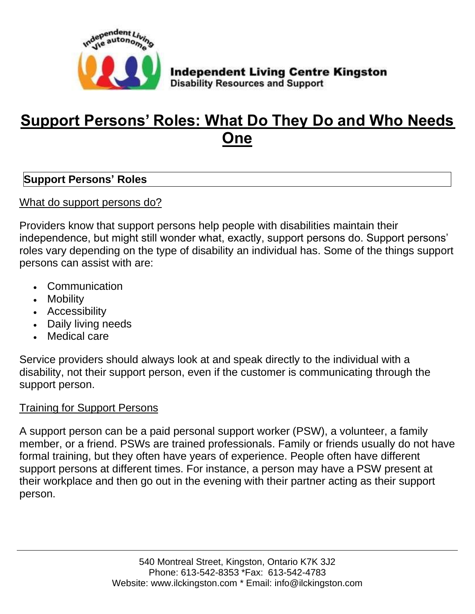

# **Support Persons' Roles: What Do They Do and Who Needs One**

### **Support Persons' Roles**

What do support persons do?

Providers know that support persons help people with disabilities maintain their independence, but might still wonder what, exactly, support persons do. Support persons' roles vary depending on the type of disability an individual has. Some of the things support persons can assist with are:

- Communication
- Mobility
- Accessibility
- Daily living needs
- Medical care

Service providers should always look at and speak directly to the individual with a disability, not their support person, even if the customer is communicating through the support person.

## Training for Support Persons

A support person can be a paid personal support worker (PSW), a volunteer, a family member, or a friend. PSWs are trained professionals. Family or friends usually do not have formal training, but they often have years of experience. People often have different support persons at different times. For instance, a person may have a PSW present at their workplace and then go out in the evening with their partner acting as their support person.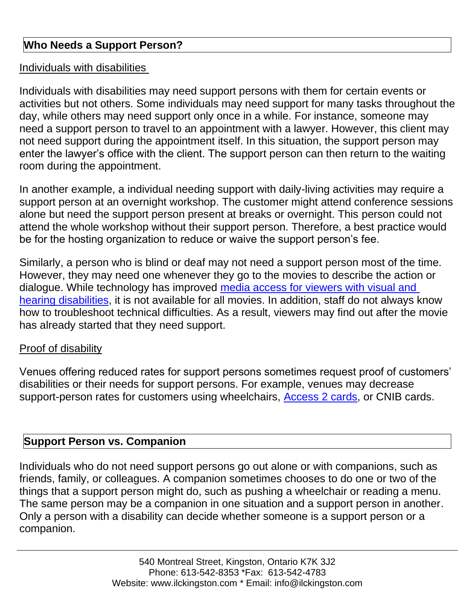### **Who Needs a Support Person?**

#### Individuals with disabilities

Individuals with disabilities may need support persons with them for certain events or activities but not others. Some individuals may need support for many tasks throughout the day, while others may need support only once in a while. For instance, someone may need a support person to travel to an appointment with a lawyer. However, this client may not need support during the appointment itself. In this situation, the support person may enter the lawyer's office with the client. The support person can then return to the waiting room during the appointment.

In another example, a individual needing support with daily-living activities may require a support person at an overnight workshop. The customer might attend conference sessions alone but need the support person present at breaks or overnight. This person could not attend the whole workshop without their support person. Therefore, a best practice would be for the hosting organization to reduce or waive the support person's fee.

Similarly, a person who is blind or deaf may not need a support person most of the time. However, they may need one whenever they go to the movies to describe the action or dialogue. While technology has improved [media access for viewers with visual and](https://aoda.ca/accessible-media-how-people-with-disabilities-enjoy-entertainment/)  [hearing disabilities,](https://aoda.ca/accessible-media-how-people-with-disabilities-enjoy-entertainment/) it is not available for all movies. In addition, staff do not always know how to troubleshoot technical difficulties. As a result, viewers may find out after the movie has already started that they need support.

#### Proof of disability

Venues offering reduced rates for support persons sometimes request proof of customers' disabilities or their needs for support persons. For example, venues may decrease support-person rates for customers using wheelchairs, [Access 2 cards,](https://aoda.ca/venue-policies-make-access2-cards-less-effective/) or CNIB cards.

# **Support Person vs. Companion**

Individuals who do not need support persons go out alone or with companions, such as friends, family, or colleagues. A companion sometimes chooses to do one or two of the things that a support person might do, such as pushing a wheelchair or reading a menu. The same person may be a companion in one situation and a support person in another. Only a person with a disability can decide whether someone is a support person or a companion.